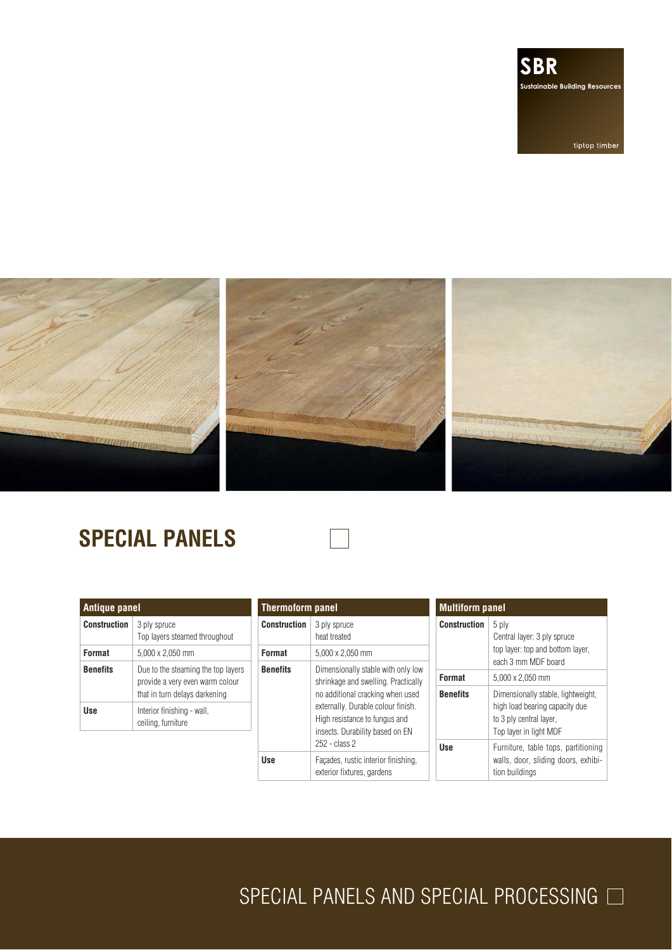

tiptop timber



# **SPECIAL PANELS**

| <b>Antique panel</b> |                                                                                                        |  |
|----------------------|--------------------------------------------------------------------------------------------------------|--|
| <b>Construction</b>  | 3 ply spruce<br>Top layers steamed throughout                                                          |  |
| <b>Format</b>        | 5,000 x 2,050 mm                                                                                       |  |
| <b>Benefits</b>      | Due to the steaming the top layers<br>provide a very even warm colour<br>that in turn delays darkening |  |
| llse                 | Interior finishing - wall,<br>ceiling, furniture                                                       |  |
|                      |                                                                                                        |  |

| <b>Thermoform panel</b> |                                                                                                                                            | <b>Multiform panel</b> |                                                                                                                           |
|-------------------------|--------------------------------------------------------------------------------------------------------------------------------------------|------------------------|---------------------------------------------------------------------------------------------------------------------------|
| <b>Construction</b>     | 3 ply spruce<br>heat treated                                                                                                               | <b>Construction</b>    | 5 ply<br>Central layer: 3 ply spruce                                                                                      |
| Format                  | 5,000 x 2,050 mm                                                                                                                           |                        | top layer: top and bottom layer,<br>each 3 mm MDF board                                                                   |
| <b>Benefits</b>         | Dimensionally stable with only low<br>shrinkage and swelling. Practically                                                                  | Format                 | 5.000 x 2.050 mm                                                                                                          |
|                         | no additional cracking when used<br>externally. Durable colour finish.<br>High resistance to fungus and<br>insects. Durability based on EN | <b>Benefits</b>        | Dimensionally stable, lightweight,<br>high load bearing capacity due<br>to 3 ply central layer,<br>Top layer in light MDF |
|                         | 252 - class 2                                                                                                                              | <b>Use</b>             | Furniture, table tops, partitioning                                                                                       |
| <b>Use</b>              | Facades, rustic interior finishing,<br>exterior fixtures, gardens                                                                          |                        | walls, door, sliding doors, exhibi-<br>tion buildings                                                                     |

SPECIAL PANELS AND SPECIAL PROCESSING